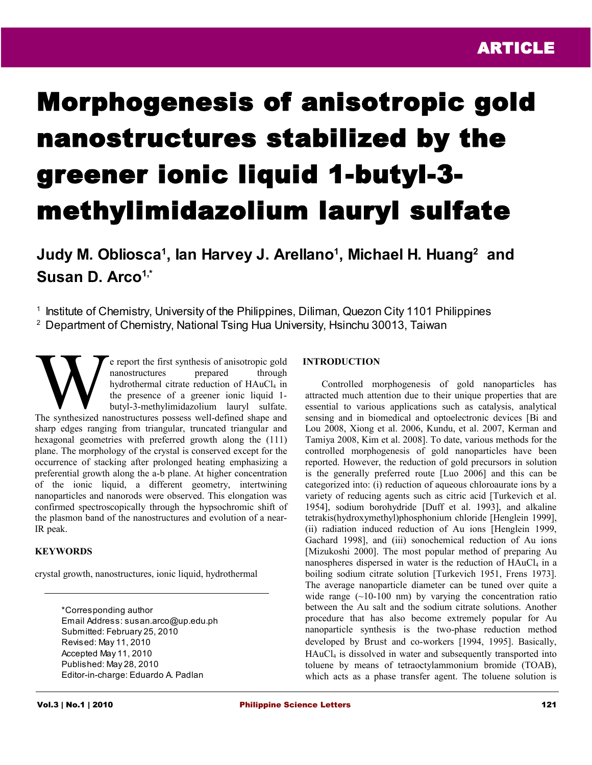# Morphogenesis of anisotropic gold nanostructures stabilized by the greener ionic liquid 1-butyl-3 methylimidazolium lauryl sulfate

**Judy M. Obliosca<sup>1</sup> , Ian Harvey J. Arellano<sup>1</sup> , Michael H. Huang<sup>2</sup> and Susan D. Arco1,\***

<sup>1</sup> Institute of Chemistry, University of the Philippines, Diliman, Quezon City 1101 Philippines <sup>2</sup> Department of Chemistry, National Tsing Hua University, Hsinchu 30013, Taiwan

e report the first synthesis of anisotropic gold nanostructures prepared through hydrothermal citrate reduction of HAuCl<sub>4</sub> in the presence of a greener ionic liquid 1 butyl-3-methylimidazolium lauryl sulfate. The synthesized nanostructures are prepared through hydrothermal citrate reduction of HAuCl<sub>4</sub> in the presence of a greener ionic liquid 1-<br>butyl-3-methylimidazolium lauryl sulfate.<br>The synthesized nanostructures possess w sharp edges ranging from triangular, truncated triangular and hexagonal geometries with preferred growth along the (111) plane. The morphology of the crystal is conserved except for the occurrence of stacking after prolonged heating emphasizing a preferential growth along the a-b plane. At higher concentration of the ionic liquid, a different geometry, intertwining nanoparticles and nanorods were observed. This elongation was confirmed spectroscopically through the hypsochromic shift of the plasmon band of the nanostructures and evolution of a near-IR peak.

## **KEYWORDS**

crystal growth, nanostructures, ionic liquid, hydrothermal

\*Corresponding author Email Address: susan.arco@up.edu.ph Submitted: February 25, 2010 Revised: May 11, 2010 Accepted May 11, 2010 Published: May 28, 2010 Editor-in-charge: Eduardo A. Padlan

## **INTRODUCTION**

Controlled morphogenesis of gold nanoparticles has attracted much attention due to their unique properties that are essential to various applications such as catalysis, analytical sensing and in biomedical and optoelectronic devices [Bi and Lou 2008, Xiong et al. 2006, Kundu, et al. 2007, Kerman and Tamiya 2008, Kim et al. 2008]. To date, various methods for the controlled morphogenesis of gold nanoparticles have been reported. However, the reduction of gold precursors in solution is the generally preferred route [Luo 2006] and this can be categorized into: (i) reduction of aqueous chloroaurate ions by a variety of reducing agents such as citric acid [Turkevich et al. 1954], sodium borohydride [Duff et al. 1993], and alkaline tetrakis(hydroxymethyl)phosphonium chloride [Henglein 1999], (ii) radiation induced reduction of Au ions [Henglein 1999, Gachard 1998], and (iii) sonochemical reduction of Au ions [Mizukoshi 2000]. The most popular method of preparing Au nanospheres dispersed in water is the reduction of HAuCl<sub>4</sub> in a boiling sodium citrate solution [Turkevich 1951, Frens 1973]. The average nanoparticle diameter can be tuned over quite a wide range  $(\sim 10-100 \text{ nm})$  by varying the concentration ratio between the Au salt and the sodium citrate solutions. Another procedure that has also become extremely popular for Au nanoparticle synthesis is the two-phase reduction method developed by Brust and co-workers [1994, 1995]. Basically, HAuCl4 is dissolved in water and subsequently transported into toluene by means of tetraoctylammonium bromide (TOAB), which acts as a phase transfer agent. The toluene solution is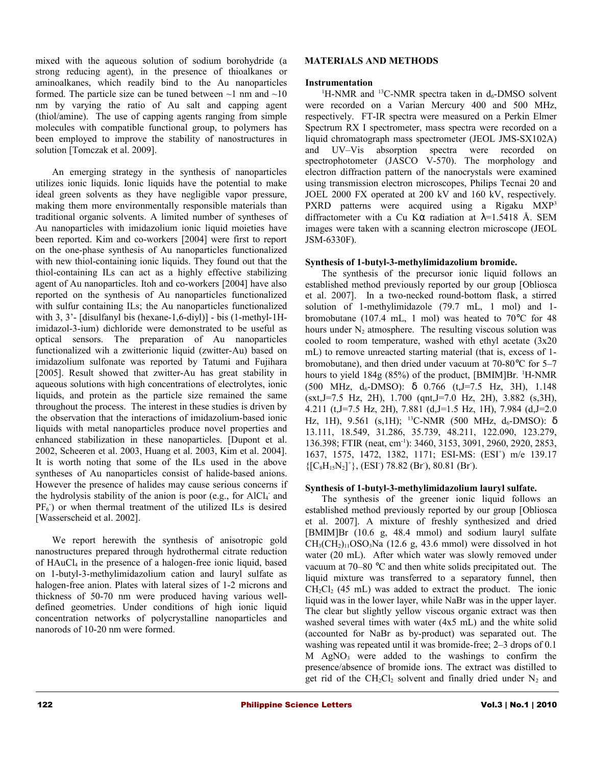mixed with the aqueous solution of sodium borohydride (a strong reducing agent), in the presence of thioalkanes or aminoalkanes, which readily bind to the Au nanoparticles formed. The particle size can be tuned between  $\sim$ 1 nm and  $\sim$ 10 nm by varying the ratio of Au salt and capping agent (thiol/amine). The use of capping agents ranging from simple molecules with compatible functional group, to polymers has been employed to improve the stability of nanostructures in solution [Tomczak et al. 2009].

An emerging strategy in the synthesis of nanoparticles utilizes ionic liquids. Ionic liquids have the potential to make ideal green solvents as they have negligible vapor pressure, making them more environmentally responsible materials than traditional organic solvents. A limited number of syntheses of Au nanoparticles with imidazolium ionic liquid moieties have been reported. Kim and co-workers [2004] were first to report on the one-phase synthesis of Au nanoparticles functionalized with new thiol-containing ionic liquids. They found out that the thiol-containing ILs can act as a highly effective stabilizing agent of Au nanoparticles. Itoh and co-workers [2004] have also reported on the synthesis of Au nanoparticles functionalized with sulfur containing ILs; the Au nanoparticles functionalized with 3, 3'- [disulfanyl bis (hexane-1,6-diyl)] - bis (1-methyl-1Himidazol-3-ium) dichloride were demonstrated to be useful as optical sensors. The preparation of Au nanoparticles functionalized wih a zwitterionic liquid (zwitter-Au) based on imidazolium sulfonate was reported by Tatumi and Fujihara [2005]. Result showed that zwitter-Au has great stability in aqueous solutions with high concentrations of electrolytes, ionic liquids, and protein as the particle size remained the same throughout the process. The interest in these studies is driven by the observation that the interactions of imidazolium-based ionic liquids with metal nanoparticles produce novel properties and enhanced stabilization in these nanoparticles. [Dupont et al. 2002, Scheeren et al. 2003, Huang et al. 2003, Kim et al. 2004]. It is worth noting that some of the ILs used in the above syntheses of Au nanoparticles consist of halide-based anions. However the presence of halides may cause serious concerns if the hydrolysis stability of the anion is poor (e.g., for AlCl<sub>4</sub> and  $PF_6$ ) or when thermal treatment of the utilized ILs is desired [Wasserscheid et al. 2002].

We report herewith the synthesis of anisotropic gold nanostructures prepared through hydrothermal citrate reduction of HAuCl4 in the presence of a halogen-free ionic liquid, based on 1-butyl-3-methylimidazolium cation and lauryl sulfate as halogen-free anion. Plates with lateral sizes of 1-2 microns and thickness of 50-70 nm were produced having various welldefined geometries. Under conditions of high ionic liquid concentration networks of polycrystalline nanoparticles and nanorods of 10-20 nm were formed.

## **MATERIALS AND METHODS**

### **Instrumentation**

<sup>1</sup>H-NMR and <sup>13</sup>C-NMR spectra taken in  $d_6$ -DMSO solvent were recorded on a Varian Mercury 400 and 500 MHz, respectively. FT-IR spectra were measured on a Perkin Elmer Spectrum RX I spectrometer, mass spectra were recorded on a liquid chromatograph mass spectrometer (JEOL JMS-SX102A) and UV–Vis absorption spectra were recorded on spectrophotometer (JASCO V-570). The morphology and electron diffraction pattern of the nanocrystals were examined using transmission electron microscopes, Philips Tecnai 20 and JOEL 2000 FX operated at 200 kV and 160 kV, respectively. PXRD patterns were acquired using a Rigaku MXP<sup>3</sup> diffractometer with a Cu K $\alpha$  radiation at  $\lambda$ =1.5418 Å. SEM images were taken with a scanning electron microscope (JEOL JSM-6330F).

### **Synthesis of 1-butyl-3-methylimidazolium bromide.**

The synthesis of the precursor ionic liquid follows an established method previously reported by our group [Obliosca et al. 2007]. In a two-necked round-bottom flask, a stirred solution of 1-methylimidazole (79.7 mL, 1 mol) and 1 bromobutane (107.4 mL, 1 mol) was heated to 70°C for 48 hours under  $N_2$  atmosphere. The resulting viscous solution was cooled to room temperature, washed with ethyl acetate (3x20 mL) to remove unreacted starting material (that is, excess of 1 bromobutane), and then dried under vacuum at 70-80°C for 5–7 hours to yield  $184g (85%)$  of the product, [BMIM]Br. <sup>1</sup>H-NMR (500 MHz,  $d_6$ -DMSO):  $\delta$  0.766 (t, J=7.5 Hz, 3H), 1.148  $(sxt,J=7.5 \text{ Hz}, 2H), 1.700 \text{ (ant,J=7.0 Hz}, 2H), 3.882 \text{ (s,3H)},$ 4.211 (t,J=7.5 Hz, 2H), 7.881 (d,J=1.5 Hz, 1H), 7.984 (d,J=2.0 Hz, 1H), 9.561 (s, 1H); <sup>13</sup>C-NMR (500 MHz, d<sub>6</sub>-DMSO): δ 13.111, 18.549, 31.286, 35.739, 48.211, 122.090, 123.279, 136.398; FTIR (neat, cm-1): 3460, 3153, 3091, 2960, 2920, 2853, 1637, 1575, 1472, 1382, 1171; ESI-MS: (ESI<sup>+</sup>) m/e 139.17  ${[C_8H_{15}N_2]^+}$ , (ESI<sup>-</sup>) 78.82 (Br<sup>-</sup>), 80.81 (Br<sup>-</sup>).

## **Synthesis of 1-butyl-3-methylimidazolium lauryl sulfate.**

The synthesis of the greener ionic liquid follows an established method previously reported by our group [Obliosca et al. 2007]. A mixture of freshly synthesized and dried [BMIM]Br (10.6 g, 48.4 mmol) and sodium lauryl sulfate  $CH<sub>3</sub>(CH<sub>2</sub>)<sub>11</sub>OSO<sub>3</sub>Na$  (12.6 g, 43.6 mmol) were dissolved in hot water (20 mL). After which water was slowly removed under vacuum at 70–80 °C and then white solids precipitated out. The liquid mixture was transferred to a separatory funnel, then  $CH_2Cl_2$  (45 mL) was added to extract the product. The ionic liquid was in the lower layer, while NaBr was in the upper layer. The clear but slightly yellow viscous organic extract was then washed several times with water (4x5 mL) and the white solid (accounted for NaBr as by-product) was separated out. The washing was repeated until it was bromide-free; 2–3 drops of 0.1 M AgNO3 were added to the washings to confirm the presence/absence of bromide ions. The extract was distilled to get rid of the  $CH_2Cl_2$  solvent and finally dried under  $N_2$  and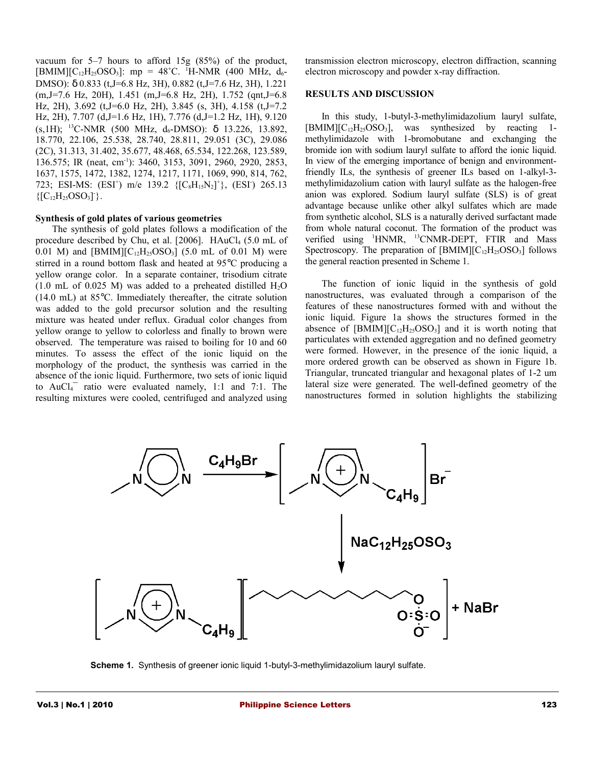vacuum for 5–7 hours to afford 15g (85%) of the product,  $[BMIM][C_{12}H_{25}OSO_3]$ : mp = 48°C. <sup>1</sup>H-NMR (400 MHz, d<sub>6</sub>-DMSO): δ 0.833 (t,J=6.8 Hz, 3H), 0.882 (t,J=7.6 Hz, 3H), 1.221 (m,J=7.6 Hz, 20H), 1.451 (m,J=6.8 Hz, 2H), 1.752 (qnt,J=6.8 Hz, 2H), 3.692 (t,J=6.0 Hz, 2H), 3.845 (s, 3H), 4.158 (t,J=7.2 Hz, 2H), 7.707 (d,J=1.6 Hz, 1H), 7.776 (d,J=1.2 Hz, 1H), 9.120 (s, 1H); <sup>13</sup>C-NMR (500 MHz,  $d_6$ -DMSO):  $\delta$  13.226, 13.892, 18.770, 22.106, 25.538, 28.740, 28.811, 29.051 (3C), 29.086 (2C), 31.313, 31.402, 35.677, 48.468, 65.534, 122.268, 123.589, 136.575; IR (neat, cm-1): 3460, 3153, 3091, 2960, 2920, 2853, 1637, 1575, 1472, 1382, 1274, 1217, 1171, 1069, 990, 814, 762, 723; ESI-MS: (ESI<sup>+</sup>) m/e 139.2 {[C<sub>8</sub>H<sub>15</sub>N<sub>2</sub>]<sup>+</sup>}, (ESI<sup>-</sup>) 265.13  ${[C_{12}H_{25}OSO_3]}$ .

#### **Synthesis of gold plates of various geometries**

The synthesis of gold plates follows a modification of the procedure described by Chu, et al. [2006]. HAuCl<sub>4</sub> (5.0 mL of 0.01 M) and  $[BMIM][C_{12}H_{25}OSO_3]$  (5.0 mL of 0.01 M) were stirred in a round bottom flask and heated at 95°C producing a yellow orange color. In a separate container, trisodium citrate (1.0 mL of 0.025 M) was added to a preheated distilled  $H_2O$ (14.0 mL) at 85°C. Immediately thereafter, the citrate solution was added to the gold precursor solution and the resulting mixture was heated under reflux. Gradual color changes from yellow orange to yellow to colorless and finally to brown were observed. The temperature was raised to boiling for 10 and 60 minutes. To assess the effect of the ionic liquid on the morphology of the product, the synthesis was carried in the absence of the ionic liquid. Furthermore, two sets of ionic liquid to  $AuCl<sub>4</sub><sup>-</sup>$  ratio were evaluated namely, 1:1 and 7:1. The resulting mixtures were cooled, centrifuged and analyzed using

transmission electron microscopy, electron diffraction, scanning electron microscopy and powder x-ray diffraction.

#### **RESULTS AND DISCUSSION**

In this study, 1-butyl-3-methylimidazolium lauryl sulfate,  $[BMIM][C_{12}H_{25}OSO_3]$ , was synthesized by reacting 1methylimidazole with 1-bromobutane and exchanging the bromide ion with sodium lauryl sulfate to afford the ionic liquid. In view of the emerging importance of benign and environmentfriendly ILs, the synthesis of greener ILs based on 1-alkyl-3 methylimidazolium cation with lauryl sulfate as the halogen-free anion was explored. Sodium lauryl sulfate (SLS) is of great advantage because unlike other alkyl sulfates which are made from synthetic alcohol, SLS is a naturally derived surfactant made from whole natural coconut. The formation of the product was verified using <sup>1</sup>HNMR, <sup>13</sup>CNMR-DEPT, FTIR and Mass Spectroscopy. The preparation of  $[BMIM][C_{12}H_{25}OSO_3]$  follows the general reaction presented in Scheme 1.

The function of ionic liquid in the synthesis of gold nanostructures, was evaluated through a comparison of the features of these nanostructures formed with and without the ionic liquid. Figure 1a shows the structures formed in the absence of  $[BMIM][C_{12}H_{25}OSO_3]$  and it is worth noting that particulates with extended aggregation and no defined geometry were formed. However, in the presence of the ionic liquid, a more ordered growth can be observed as shown in Figure 1b. Triangular, truncated triangular and hexagonal plates of 1-2 um lateral size were generated. The well-defined geometry of the nanostructures formed in solution highlights the stabilizing



**Scheme 1.** Synthesis of greener ionic liquid 1-butyl-3-methylimidazolium lauryl sulfate.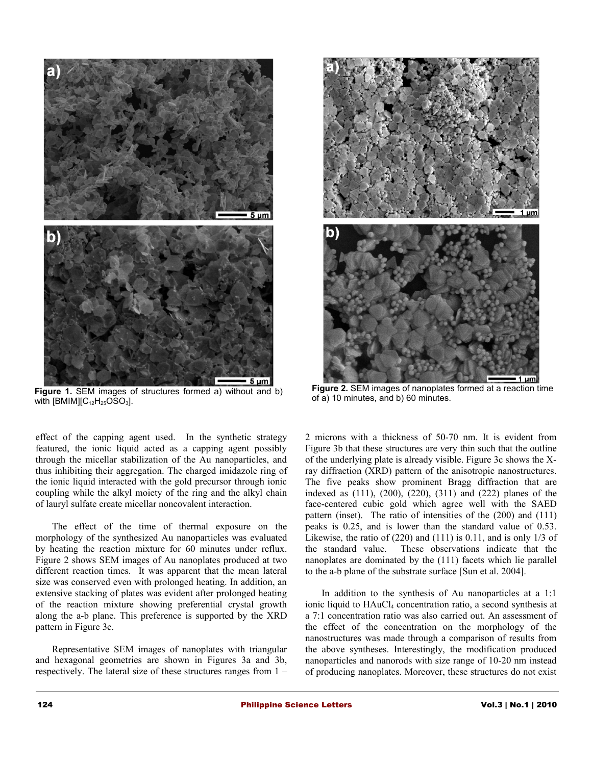

Figure 1. SEM images of structures formed a) without and b) with  $[BMIM][C_{12}H_{25}OSO_3]$ .

effect of the capping agent used. In the synthetic strategy featured, the ionic liquid acted as a capping agent possibly through the micellar stabilization of the Au nanoparticles, and thus inhibiting their aggregation. The charged imidazole ring of the ionic liquid interacted with the gold precursor through ionic coupling while the alkyl moiety of the ring and the alkyl chain of lauryl sulfate create micellar noncovalent interaction.

The effect of the time of thermal exposure on the morphology of the synthesized Au nanoparticles was evaluated by heating the reaction mixture for 60 minutes under reflux. Figure 2 shows SEM images of Au nanoplates produced at two different reaction times. It was apparent that the mean lateral size was conserved even with prolonged heating. In addition, an extensive stacking of plates was evident after prolonged heating of the reaction mixture showing preferential crystal growth along the a-b plane. This preference is supported by the XRD pattern in Figure 3c.

Representative SEM images of nanoplates with triangular and hexagonal geometries are shown in Figures 3a and 3b, respectively. The lateral size of these structures ranges from 1 –



**Figure 2.** SEM images of nanoplates formed at a reaction time of a) 10 minutes, and b) 60 minutes.

2 microns with a thickness of 50-70 nm. It is evident from Figure 3b that these structures are very thin such that the outline of the underlying plate is already visible. Figure 3c shows the Xray diffraction (XRD) pattern of the anisotropic nanostructures. The five peaks show prominent Bragg diffraction that are indexed as (111), (200), (220), (311) and (222) planes of the face-centered cubic gold which agree well with the SAED pattern (inset). The ratio of intensities of the (200) and (111) peaks is 0.25, and is lower than the standard value of 0.53. Likewise, the ratio of (220) and (111) is 0.11, and is only 1/3 of the standard value. These observations indicate that the nanoplates are dominated by the (111) facets which lie parallel to the a-b plane of the substrate surface [Sun et al. 2004].

In addition to the synthesis of Au nanoparticles at a 1:1 ionic liquid to HAuCl<sub>4</sub> concentration ratio, a second synthesis at a 7:1 concentration ratio was also carried out. An assessment of the effect of the concentration on the morphology of the nanostructures was made through a comparison of results from the above syntheses. Interestingly, the modification produced nanoparticles and nanorods with size range of 10-20 nm instead of producing nanoplates. Moreover, these structures do not exist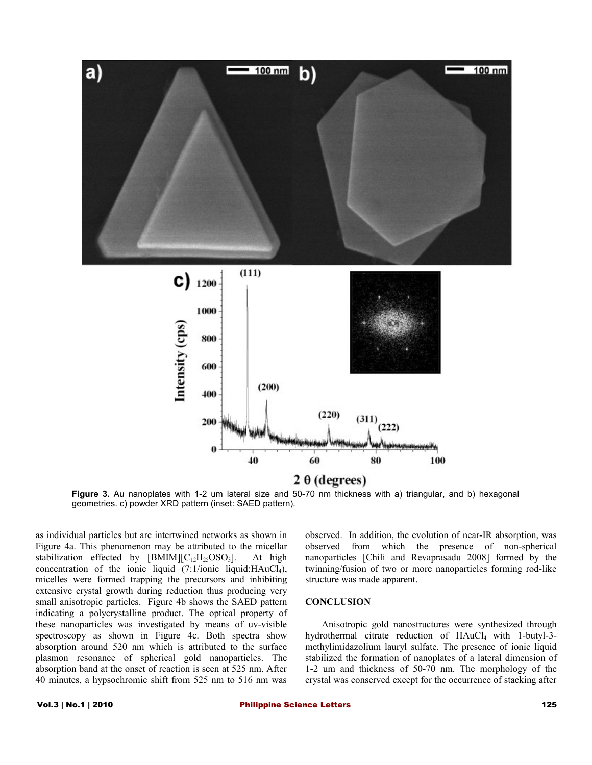

**Figure 3.** Au nanoplates with 1-2 um lateral size and 50-70 nm thickness with a) triangular, and b) hexagonal geometries. c) powder XRD pattern (inset: SAED pattern).

as individual particles but are intertwined networks as shown in Figure 4a. This phenomenon may be attributed to the micellar stabilization effected by  $[BMIM][C_{12}H_{25}OSO_3]$ . At high concentration of the ionic liquid (7:1/ionic liquid:HAuCl4), micelles were formed trapping the precursors and inhibiting extensive crystal growth during reduction thus producing very small anisotropic particles. Figure 4b shows the SAED pattern indicating a polycrystalline product. The optical property of these nanoparticles was investigated by means of uv-visible spectroscopy as shown in Figure 4c. Both spectra show absorption around 520 nm which is attributed to the surface plasmon resonance of spherical gold nanoparticles. The absorption band at the onset of reaction is seen at 525 nm. After 40 minutes, a hypsochromic shift from 525 nm to 516 nm was

observed. In addition, the evolution of near-IR absorption, was observed from which the presence of non-spherical nanoparticles [Chili and Revaprasadu 2008] formed by the twinning/fusion of two or more nanoparticles forming rod-like structure was made apparent.

#### **CONCLUSION**

Anisotropic gold nanostructures were synthesized through hydrothermal citrate reduction of HAuCl<sub>4</sub> with 1-butyl-3methylimidazolium lauryl sulfate. The presence of ionic liquid stabilized the formation of nanoplates of a lateral dimension of 1-2 um and thickness of 50-70 nm. The morphology of the crystal was conserved except for the occurrence of stacking after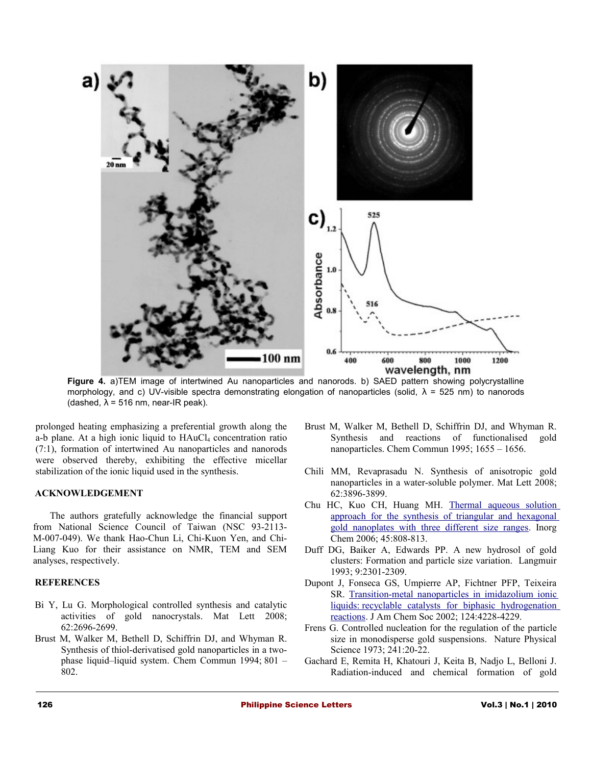

**Figure 4.** a)TEM image of intertwined Au nanoparticles and nanorods. b) SAED pattern showing polycrystalline morphology, and c) UV-visible spectra demonstrating elongation of nanoparticles (solid,  $\lambda$  = 525 nm) to nanorods (dashed,  $\lambda$  = 516 nm, near-IR peak).

prolonged heating emphasizing a preferential growth along the a-b plane. At a high ionic liquid to HAuCl<sub>4</sub> concentration ratio (7:1), formation of intertwined Au nanoparticles and nanorods were observed thereby, exhibiting the effective micellar stabilization of the ionic liquid used in the synthesis.

#### **ACKNOWLEDGEMENT**

The authors gratefully acknowledge the financial support from National Science Council of Taiwan (NSC 93-2113- M-007-049). We thank Hao-Chun Li, Chi-Kuon Yen, and Chi-Liang Kuo for their assistance on NMR, TEM and SEM analyses, respectively.

#### **REFERENCES**

- Bi Y, Lu G. [Morphological controlled synthesis and catalytic](http://www.sciencedirect.com/science?_ob=ArticleURL&_udi=B6TX9-4RKTN76-5&_user=10&_coverDate=06%2F30%2F2008&_alid=1191352027&_rdoc=1&_fmt=high&_orig=search&_cdi=5585&_sort=r&_docanchor=&view=c&_ct=1&_acct=C000050221&_version=1&_urlVersion=0&_userid=10&md5=43498a21c6c68e239b1a6cbc19ddab2f) [activities of gold nanocrystals.](http://www.sciencedirect.com/science?_ob=ArticleURL&_udi=B6TX9-4RKTN76-5&_user=10&_coverDate=06%2F30%2F2008&_alid=1191352027&_rdoc=1&_fmt=high&_orig=search&_cdi=5585&_sort=r&_docanchor=&view=c&_ct=1&_acct=C000050221&_version=1&_urlVersion=0&_userid=10&md5=43498a21c6c68e239b1a6cbc19ddab2f) Mat Lett 2008; 62:2696-2699.
- Brust M, Walker M, Bethell D, Schiffrin DJ, and Whyman R. Synthesis of thiol-derivatised gold nanoparticles in a twophase liquid–liquid system. Chem Commun 1994; 801 – 802.
- Brust M, Walker M, Bethell D, Schiffrin DJ, and Whyman R. Synthesis and reactions of functionalised gold nanoparticles. Chem Commun 1995; 1655 – 1656.
- Chili MM, Revaprasadu N. [Synthesis of anisotropic gold](http://www.sciencedirect.com/science?_ob=ArticleURL&_udi=B6TX9-4SJP788-9&_user=10&_coverDate=08%2F31%2F2008&_alid=1191355221&_rdoc=1&_fmt=high&_orig=search&_cdi=5585&_sort=r&_docanchor=&view=c&_ct=1&_acct=C000050221&_version=1&_urlVersion=0&_userid=10&md5=b57f323f1adfba019c368613895a9d2b) [nanoparticles in a water-soluble polymer.](http://www.sciencedirect.com/science?_ob=ArticleURL&_udi=B6TX9-4SJP788-9&_user=10&_coverDate=08%2F31%2F2008&_alid=1191355221&_rdoc=1&_fmt=high&_orig=search&_cdi=5585&_sort=r&_docanchor=&view=c&_ct=1&_acct=C000050221&_version=1&_urlVersion=0&_userid=10&md5=b57f323f1adfba019c368613895a9d2b) Mat Lett 2008; 62:3896-3899.
- Chu HC, Kuo CH, Huang MH. [Thermal aqueous solution](http://pubs.acs.org/doi/abs/10.1021/ic051758s) [approach for the synthesis of triangular and hexagonal](http://pubs.acs.org/doi/abs/10.1021/ic051758s) [gold nanoplates with three different size ranges.](http://pubs.acs.org/doi/abs/10.1021/ic051758s) Inorg Chem 2006; 45:808-813.
- Duff DG, Baiker A, Edwards PP. A new hydrosol of gold clusters: Formation and particle size variation. Langmuir 1993; 9:2301-2309.
- Dupont J, Fonseca GS, Umpierre AP, Fichtner PFP, Teixeira SR. [Transition-metal nanoparticles in imidazolium ionic](http://pubs.acs.org/doi/abs/10.1021/ja025818u)  [liquids: recyclable catalysts for biphasic hydrogenation](http://pubs.acs.org/doi/abs/10.1021/ja025818u) [reactions.](http://pubs.acs.org/doi/abs/10.1021/ja025818u) J Am Chem Soc 2002; 124:4228-4229.
- Frens G. Controlled nucleation for the regulation of the particle size in monodisperse gold suspensions. Nature Physical Science 1973; 241:20-22.
- Gachard E, Remita H, Khatouri J, Keita B, Nadjo L, Belloni J. Radiation-induced and chemical formation of gold